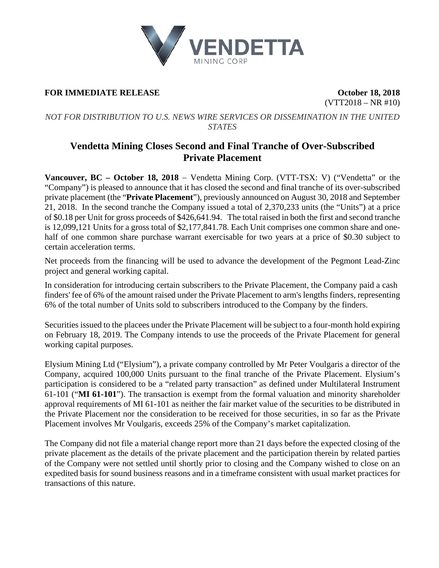

## **FOR IMMEDIATE RELEASE CONSERVERS October 18, 2018**

 $(VTT2018 - NR #10)$ 

*NOT FOR DISTRIBUTION TO U.S. NEWS WIRE SERVICES OR DISSEMINATION IN THE UNITED STATES*

# **Vendetta Mining Closes Second and Final Tranche of Over-Subscribed Private Placement**

**Vancouver, BC – October 18, 2018** − Vendetta Mining Corp. (VTT-TSX: V) ("Vendetta" or the "Company") is pleased to announce that it has closed the second and final tranche of its over-subscribed private placement (the "**Private Placement**"), previously announced on August 30, 2018 and September 21, 2018. In the second tranche the Company issued a total of 2,370,233 units (the "Units") at a price of \$0.18 per Unit for gross proceeds of \$426,641.94. The total raised in both the first and second tranche is 12,099,121 Units for a gross total of \$2,177,841.78. Each Unit comprises one common share and onehalf of one common share purchase warrant exercisable for two years at a price of \$0.30 subject to certain acceleration terms.

Net proceeds from the financing will be used to advance the development of the Pegmont Lead-Zinc project and general working capital.

In consideration for introducing certain subscribers to the Private Placement, the Company paid a cash finders' fee of 6% of the amount raised under the Private Placement to arm's lengths finders, representing 6% of the total number of Units sold to subscribers introduced to the Company by the finders.

Securities issued to the placees under the Private Placement will be subject to a four-month hold expiring on February 18, 2019. The Company intends to use the proceeds of the Private Placement for general working capital purposes.

Elysium Mining Ltd ("Elysium"), a private company controlled by Mr Peter Voulgaris a director of the Company, acquired 100,000 Units pursuant to the final tranche of the Private Placement. Elysium's participation is considered to be a "related party transaction" as defined under Multilateral Instrument 61-101 ("**MI 61-101**"). The transaction is exempt from the formal valuation and minority shareholder approval requirements of MI 61-101 as neither the fair market value of the securities to be distributed in the Private Placement nor the consideration to be received for those securities, in so far as the Private Placement involves Mr Voulgaris, exceeds 25% of the Company's market capitalization.

The Company did not file a material change report more than 21 days before the expected closing of the private placement as the details of the private placement and the participation therein by related parties of the Company were not settled until shortly prior to closing and the Company wished to close on an expedited basis for sound business reasons and in a timeframe consistent with usual market practices for transactions of this nature.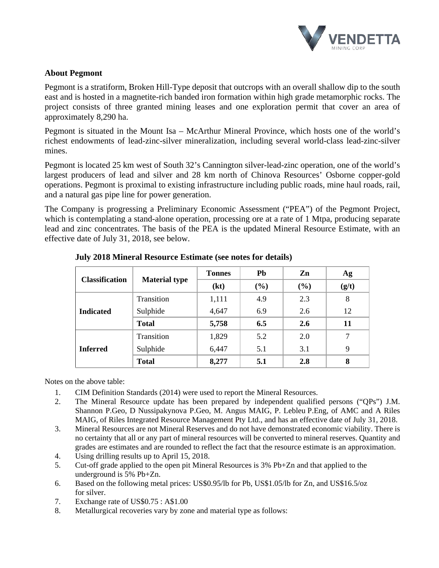

## **About Pegmont**

Pegmont is a stratiform, Broken Hill-Type deposit that outcrops with an overall shallow dip to the south east and is hosted in a magnetite-rich banded iron formation within high grade metamorphic rocks. The project consists of three granted mining leases and one exploration permit that cover an area of approximately 8,290 ha.

Pegmont is situated in the Mount Isa – McArthur Mineral Province, which hosts one of the world's richest endowments of lead-zinc-silver mineralization, including several world-class lead-zinc-silver mines.

Pegmont is located 25 km west of South 32's Cannington silver-lead-zinc operation, one of the world's largest producers of lead and silver and 28 km north of Chinova Resources' Osborne copper-gold operations. Pegmont is proximal to existing infrastructure including public roads, mine haul roads, rail, and a natural gas pipe line for power generation.

The Company is progressing a Preliminary Economic Assessment ("PEA") of the Pegmont Project, which is contemplating a stand-alone operation, processing ore at a rate of 1 Mtpa, producing separate lead and zinc concentrates. The basis of the PEA is the updated Mineral Resource Estimate, with an effective date of July 31, 2018, see below.

| <b>Classification</b> | <b>Material type</b> | <b>Tonnes</b> | Pb     | Zn     | Ag    |
|-----------------------|----------------------|---------------|--------|--------|-------|
|                       |                      | (kt)          | $(\%)$ | $(\%)$ | (g/t) |
| <b>Indicated</b>      | Transition           | 1,111         | 4.9    | 2.3    | 8     |
|                       | Sulphide             | 4,647         | 6.9    | 2.6    | 12    |
|                       | <b>Total</b>         | 5,758         | 6.5    | 2.6    | 11    |
| <b>Inferred</b>       | Transition           | 1,829         | 5.2    | 2.0    |       |
|                       | Sulphide             | 6,447         | 5.1    | 3.1    | 9     |
|                       | <b>Total</b>         | 8,277         | 5.1    | 2.8    | 8     |

### **July 2018 Mineral Resource Estimate (see notes for details)**

Notes on the above table:

- 1. CIM Definition Standards (2014) were used to report the Mineral Resources.
- 2. The Mineral Resource update has been prepared by independent qualified persons ("QPs") J.M. Shannon P.Geo, D Nussipakynova P.Geo, M. Angus MAIG, P. Lebleu P.Eng, of AMC and A Riles MAIG, of Riles Integrated Resource Management Pty Ltd., and has an effective date of July 31, 2018.
- 3. Mineral Resources are not Mineral Reserves and do not have demonstrated economic viability. There is no certainty that all or any part of mineral resources will be converted to mineral reserves. Quantity and grades are estimates and are rounded to reflect the fact that the resource estimate is an approximation.
- 4. Using drilling results up to April 15, 2018.
- 5. Cut-off grade applied to the open pit Mineral Resources is 3% Pb+Zn and that applied to the underground is 5% Pb+Zn.
- 6. Based on the following metal prices: US\$0.95/lb for Pb, US\$1.05/lb for Zn, and US\$16.5/oz for silver.
- 7. Exchange rate of US\$0.75 : A\$1.00
- 8. Metallurgical recoveries vary by zone and material type as follows: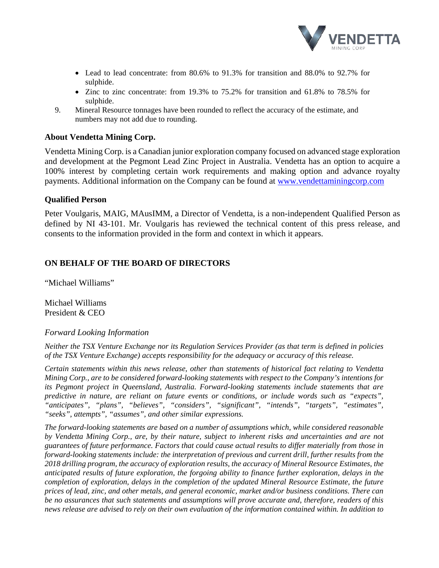

- Lead to lead concentrate: from 80.6% to 91.3% for transition and 88.0% to 92.7% for sulphide.
- Zinc to zinc concentrate: from 19.3% to 75.2% for transition and 61.8% to 78.5% for sulphide.
- 9. Mineral Resource tonnages have been rounded to reflect the accuracy of the estimate, and numbers may not add due to rounding.

#### **About Vendetta Mining Corp.**

Vendetta Mining Corp. is a Canadian junior exploration company focused on advanced stage exploration and development at the Pegmont Lead Zinc Project in Australia. Vendetta has an option to acquire a 100% interest by completing certain work requirements and making option and advance royalty payments. Additional information on the Company can be found at [www.vendettaminingcorp.com](http://www.vendettaminingcorp.com/)

#### **Qualified Person**

Peter Voulgaris, MAIG, MAusIMM, a Director of Vendetta, is a non-independent Qualified Person as defined by NI 43-101. Mr. Voulgaris has reviewed the technical content of this press release, and consents to the information provided in the form and context in which it appears.

### **ON BEHALF OF THE BOARD OF DIRECTORS**

"Michael Williams"

Michael Williams President & CEO

#### *Forward Looking Information*

*Neither the TSX Venture Exchange nor its Regulation Services Provider (as that term is defined in policies of the TSX Venture Exchange) accepts responsibility for the adequacy or accuracy of this release.*

*Certain statements within this news release, other than statements of historical fact relating to Vendetta Mining Corp., are to be considered forward-looking statements with respect to the Company's intentions for its Pegmont project in Queensland, Australia. Forward-looking statements include statements that are predictive in nature, are reliant on future events or conditions, or include words such as "expects", "anticipates", "plans", "believes", "considers", "significant", "intends", "targets", "estimates", "seeks", attempts", "assumes", and other similar expressions.*

*The forward-looking statements are based on a number of assumptions which, while considered reasonable by Vendetta Mining Corp., are, by their nature, subject to inherent risks and uncertainties and are not guarantees of future performance. Factors that could cause actual results to differ materially from those in forward-looking statements include: the interpretation of previous and current drill, further results from the 2018 drilling program, the accuracy of exploration results, the accuracy of Mineral Resource Estimates, the anticipated results of future exploration, the forgoing ability to finance further exploration, delays in the completion of exploration, delays in the completion of the updated Mineral Resource Estimate, the future prices of lead, zinc, and other metals, and general economic, market and/or business conditions. There can be no assurances that such statements and assumptions will prove accurate and, therefore, readers of this news release are advised to rely on their own evaluation of the information contained within. In addition to*